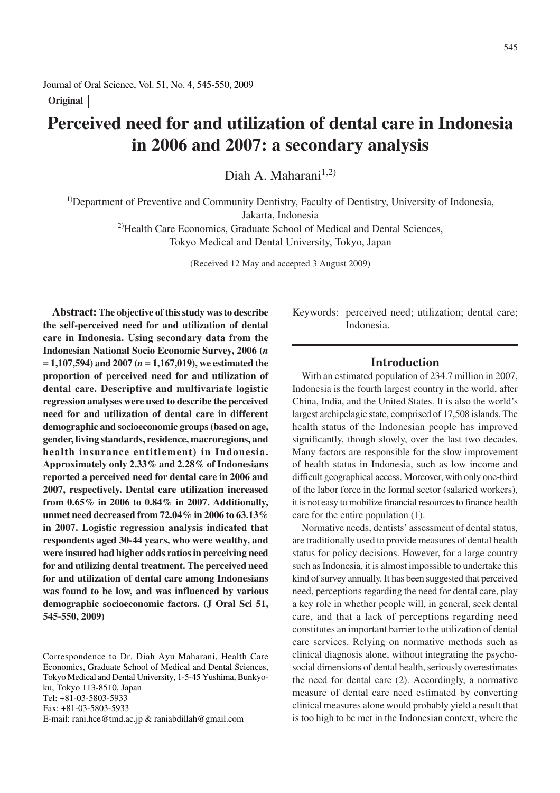**Original**

# **Perceived need for and utilization of dental care in Indonesia in 2006 and 2007: a secondary analysis**

Diah A. Maharani $^{1,2)}$ 

<sup>1)</sup>Department of Preventive and Community Dentistry, Faculty of Dentistry, University of Indonesia,

Jakarta, Indonesia

<sup>2)</sup>Health Care Economics, Graduate School of Medical and Dental Sciences,

Tokyo Medical and Dental University, Tokyo, Japan

(Received 12 May and accepted 3 August 2009)

**Abstract: The objective of this study was to describe the self-perceived need for and utilization of dental care in Indonesia. Using secondary data from the Indonesian National Socio Economic Survey, 2006 (***n* **= 1,107,594) and 2007 (***n* **= 1,167,019), we estimated the proportion of perceived need for and utilization of dental care. Descriptive and multivariate logistic regression analyses were used to describe the perceived need for and utilization of dental care in different demographic and socioeconomic groups (based on age, gender, living standards, residence, macroregions, and health insurance entitlement) in Indonesia. Approximately only 2.33% and 2.28% of Indonesians reported a perceived need for dental care in 2006 and 2007, respectively. Dental care utilization increased from 0.65% in 2006 to 0.84% in 2007. Additionally, unmet need decreased from 72.04% in 2006 to 63.13% in 2007. Logistic regression analysis indicated that respondents aged 30-44 years, who were wealthy, and were insured had higher odds ratios in perceiving need for and utilizing dental treatment. The perceived need for and utilization of dental care among Indonesians was found to be low, and was influenced by various demographic socioeconomic factors. (J Oral Sci 51, 545-550, 2009)**

Correspondence to Dr. Diah Ayu Maharani, Health Care Economics, Graduate School of Medical and Dental Sciences, Tokyo Medical and Dental University, 1-5-45 Yushima, Bunkyoku, Tokyo 113-8510, Japan Tel: +81-03-5803-5933 Fax: +81-03-5803-5933

E-mail: rani.hce@tmd.ac.jp & raniabdillah@gmail.com

Keywords: perceived need; utilization; dental care; Indonesia.

#### **Introduction**

With an estimated population of 234.7 million in 2007, Indonesia is the fourth largest country in the world, after China, India, and the United States. It is also the world's largest archipelagic state, comprised of 17,508 islands. The health status of the Indonesian people has improved significantly, though slowly, over the last two decades. Many factors are responsible for the slow improvement of health status in Indonesia, such as low income and difficult geographical access. Moreover, with only one-third of the labor force in the formal sector (salaried workers), it is not easy to mobilize financial resources to finance health care for the entire population (1).

Normative needs, dentists' assessment of dental status, are traditionally used to provide measures of dental health status for policy decisions. However, for a large country such as Indonesia, it is almost impossible to undertake this kind of survey annually. It has been suggested that perceived need, perceptions regarding the need for dental care, play a key role in whether people will, in general, seek dental care, and that a lack of perceptions regarding need constitutes an important barrier to the utilization of dental care services. Relying on normative methods such as clinical diagnosis alone, without integrating the psychosocial dimensions of dental health, seriously overestimates the need for dental care (2). Accordingly, a normative measure of dental care need estimated by converting clinical measures alone would probably yield a result that is too high to be met in the Indonesian context, where the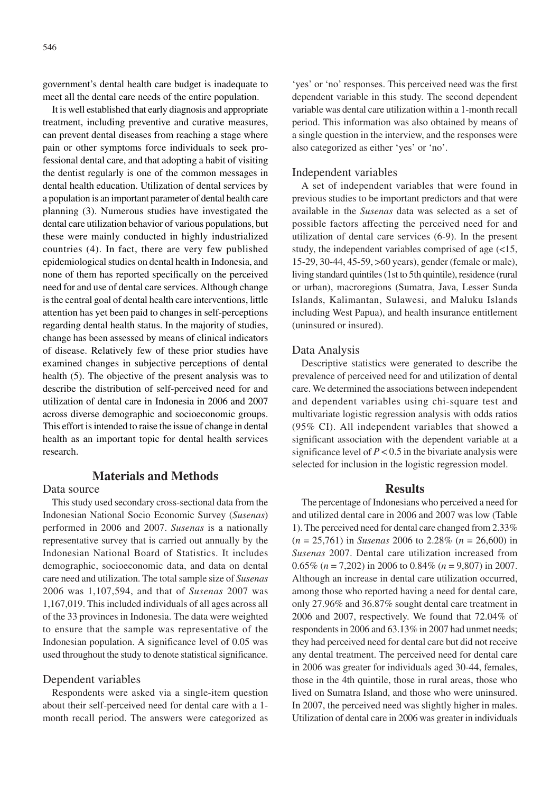government's dental health care budget is inadequate to meet all the dental care needs of the entire population.

It is well established that early diagnosis and appropriate treatment, including preventive and curative measures, can prevent dental diseases from reaching a stage where pain or other symptoms force individuals to seek professional dental care, and that adopting a habit of visiting the dentist regularly is one of the common messages in dental health education. Utilization of dental services by a population is an important parameter of dental health care planning (3). Numerous studies have investigated the dental care utilization behavior of various populations, but these were mainly conducted in highly industrialized countries (4). In fact, there are very few published epidemiological studies on dental health in Indonesia, and none of them has reported specifically on the perceived need for and use of dental care services. Although change is the central goal of dental health care interventions, little attention has yet been paid to changes in self-perceptions regarding dental health status. In the majority of studies, change has been assessed by means of clinical indicators of disease. Relatively few of these prior studies have examined changes in subjective perceptions of dental health (5). The objective of the present analysis was to describe the distribution of self-perceived need for and utilization of dental care in Indonesia in 2006 and 2007 across diverse demographic and socioeconomic groups. This effort is intended to raise the issue of change in dental health as an important topic for dental health services research.

# **Materials and Methods**

# Data source

This study used secondary cross-sectional data from the Indonesian National Socio Economic Survey (*Susenas*) performed in 2006 and 2007. *Susenas* is a nationally representative survey that is carried out annually by the Indonesian National Board of Statistics. It includes demographic, socioeconomic data, and data on dental care need and utilization. The total sample size of *Susenas* 2006 was 1,107,594, and that of *Susenas* 2007 was 1,167,019. This included individuals of all ages across all of the 33 provinces in Indonesia. The data were weighted to ensure that the sample was representative of the Indonesian population. A significance level of 0.05 was used throughout the study to denote statistical significance.

# Dependent variables

Respondents were asked via a single-item question about their self-perceived need for dental care with a 1 month recall period. The answers were categorized as

'yes' or 'no' responses. This perceived need was the first dependent variable in this study. The second dependent variable was dental care utilization within a 1-month recall period. This information was also obtained by means of a single question in the interview, and the responses were also categorized as either 'yes' or 'no'.

## Independent variables

A set of independent variables that were found in previous studies to be important predictors and that were available in the *Susenas* data was selected as a set of possible factors affecting the perceived need for and utilization of dental care services (6-9). In the present study, the independent variables comprised of age (<15, 15-29, 30-44, 45-59, >60 years), gender (female or male), living standard quintiles (1st to 5th quintile), residence (rural or urban), macroregions (Sumatra, Java, Lesser Sunda Islands, Kalimantan, Sulawesi, and Maluku Islands including West Papua), and health insurance entitlement (uninsured or insured).

## Data Analysis

Descriptive statistics were generated to describe the prevalence of perceived need for and utilization of dental care. We determined the associations between independent and dependent variables using chi-square test and multivariate logistic regression analysis with odds ratios (95% CI). All independent variables that showed a significant association with the dependent variable at a significance level of *P* < 0.5 in the bivariate analysis were selected for inclusion in the logistic regression model.

#### **Results**

The percentage of Indonesians who perceived a need for and utilized dental care in 2006 and 2007 was low (Table 1). The perceived need for dental care changed from 2.33% (*n* = 25,761) in *Susenas* 2006 to 2.28% (*n* = 26,600) in *Susenas* 2007. Dental care utilization increased from 0.65% (*n* = 7,202) in 2006 to 0.84% (*n* = 9,807) in 2007. Although an increase in dental care utilization occurred, among those who reported having a need for dental care, only 27.96% and 36.87% sought dental care treatment in 2006 and 2007, respectively. We found that 72.04% of respondents in 2006 and 63.13% in 2007 had unmet needs; they had perceived need for dental care but did not receive any dental treatment. The perceived need for dental care in 2006 was greater for individuals aged 30-44, females, those in the 4th quintile, those in rural areas, those who lived on Sumatra Island, and those who were uninsured. In 2007, the perceived need was slightly higher in males. Utilization of dental care in 2006 was greater in individuals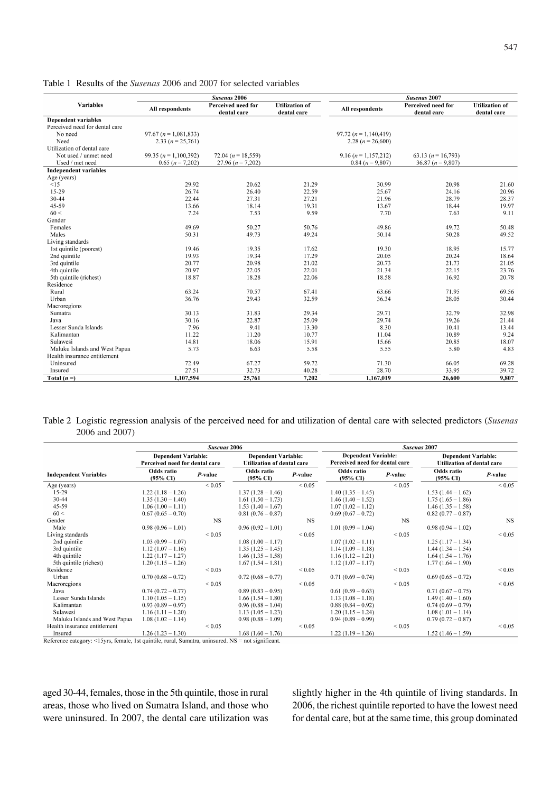|                                |                           | Susenas 2006           |                       | Susenas 2007            |                        |                       |  |
|--------------------------------|---------------------------|------------------------|-----------------------|-------------------------|------------------------|-----------------------|--|
| <b>Variables</b>               |                           | Perceived need for     | <b>Utilization</b> of |                         | Perceived need for     | <b>Utilization</b> of |  |
|                                | All respondents           | dental care            | dental care           | All respondents         | dental care            | dental care           |  |
| <b>Dependent variables</b>     |                           |                        |                       |                         |                        |                       |  |
| Perceived need for dental care |                           |                        |                       |                         |                        |                       |  |
| No need                        | $97.67 (n = 1,081,833)$   |                        |                       | $97.72 (n = 1,140,419)$ |                        |                       |  |
| Need                           | 2.33 $(n = 25,761)$       |                        |                       | 2.28 $(n = 26,600)$     |                        |                       |  |
| Utilization of dental care     |                           |                        |                       |                         |                        |                       |  |
| Not used / unmet need          | 99.35 ( $n = 1,100,392$ ) | 72.04 ( $n = 18,559$ ) |                       | $9.16 (n = 1,157,212)$  | 63.13 ( $n = 16,793$ ) |                       |  |
| Used / met need                | $0.65(n = 7,202)$         | 27.96 $(n = 7,202)$    |                       | $0.84(n = 9.807)$       | $36.87 (n = 9,807)$    |                       |  |
| <b>Independent variables</b>   |                           |                        |                       |                         |                        |                       |  |
| Age (years)                    |                           |                        |                       |                         |                        |                       |  |
| <15                            | 29.92                     | 20.62                  | 21.29                 | 30.99                   | 20.98                  | 21.60                 |  |
| 15-29                          | 26.74                     | 26.40                  | 22.59                 | 25.67                   | 24.16                  | 20.96                 |  |
| 30-44                          | 22.44                     | 27.31                  | 27.21                 | 21.96                   | 28.79                  | 28.37                 |  |
| 45-59                          | 13.66                     | 18.14                  | 19.31                 | 13.67                   | 18.44                  | 19.97                 |  |
| 60 <                           | 7.24                      | 7.53                   | 9.59                  | 7.70                    | 7.63                   | 9.11                  |  |
| Gender                         |                           |                        |                       |                         |                        |                       |  |
| Females                        | 49.69                     | 50.27                  | 50.76                 | 49.86                   | 49.72                  | 50.48                 |  |
| Males                          | 50.31                     | 49.73                  | 49.24                 | 50.14                   | 50.28                  | 49.52                 |  |
| Living standards               |                           |                        |                       |                         |                        |                       |  |
| 1st quintile (poorest)         | 19.46                     | 19.35                  | 17.62                 | 19.30                   | 18.95                  | 15.77                 |  |
| 2nd quintile                   | 19.93                     | 19.34                  | 17.29                 | 20.05                   | 20.24                  | 18.64                 |  |
| 3rd quintile                   | 20.77                     | 20.98                  | 21.02                 | 20.73                   | 21.73                  | 21.05                 |  |
| 4th quintile                   | 20.97                     | 22.05                  | 22.01                 | 21.34                   | 22.15                  | 23.76                 |  |
| 5th quintile (richest)         | 18.87                     | 18.28                  | 22.06                 | 18.58                   | 16.92                  | 20.78                 |  |
| Residence                      |                           |                        |                       |                         |                        |                       |  |
| Rural                          | 63.24                     | 70.57                  | 67.41                 | 63.66                   | 71.95                  | 69.56                 |  |
| Urban                          | 36.76                     | 29.43                  | 32.59                 | 36.34                   | 28.05                  | 30.44                 |  |
| Macroregions                   |                           |                        |                       |                         |                        |                       |  |
| Sumatra                        | 30.13                     | 31.83                  | 29.34                 | 29.71                   | 32.79                  | 32.98                 |  |
| Java                           | 30.16                     | 22.87                  | 25.09                 | 29.74                   | 19.26                  | 21.44                 |  |
| Lesser Sunda Islands           | 7.96                      | 9.41                   | 13.30                 | 8.30                    | 10.41                  | 13.44                 |  |
| Kalimantan                     | 11.22                     | 11.20                  | 10.77                 | 11.04                   | 10.89                  | 9.24                  |  |
| Sulawesi                       | 14.81                     | 18.06                  | 15.91                 | 15.66                   | 20.85                  | 18.07                 |  |
| Maluku Islands and West Papua  | 5.73                      | 6.63                   | 5.58                  | 5.55                    | 5.80                   | 4.83                  |  |
| Health insurance entitlement   |                           |                        |                       |                         |                        |                       |  |
| Uninsured                      | 72.49                     | 67.27                  | 59.72                 | 71.30                   | 66.05                  | 69.28                 |  |
| Insured                        | 27.51                     | 32.73                  | 40.28                 | 28.70                   | 33.95                  | 39.72                 |  |
| Total $(n=)$                   | 1,107,594                 | 25,761                 | 7,202                 | 1,167,019               | 26,600                 | 9,807                 |  |

Table 1 Results of the *Susenas* 2006 and 2007 for selected variables

Table 2 Logistic regression analysis of the perceived need for and utilization of dental care with selected predictors (*Susenas* 2006 and 2007)

|                               | Susenas 2006                                                 |                  |                                                          |                  | Susenas 2007                                                 |                  |                                                                 |                  |
|-------------------------------|--------------------------------------------------------------|------------------|----------------------------------------------------------|------------------|--------------------------------------------------------------|------------------|-----------------------------------------------------------------|------------------|
|                               | <b>Dependent Variable:</b><br>Perceived need for dental care |                  | <b>Dependent Variable:</b><br>Utilization of dental care |                  | <b>Dependent Variable:</b><br>Perceived need for dental care |                  | <b>Dependent Variable:</b><br><b>Utilization of dental care</b> |                  |
| <b>Independent Variables</b>  | Odds ratio<br>$(95\% \text{ C}I)$                            | P-value          | Odds ratio<br>$(95\% \text{ CI})$                        | P-value          | Odds ratio<br>$(95\% \text{ C}I)$                            | P-value          | Odds ratio<br>$(95\% \text{ CI})$                               | P-value          |
| Age (years)                   |                                                              | ${}_{0.05}$      |                                                          | ${}_{0.05}$      |                                                              | ${}_{0.05}$      |                                                                 | ${}_{\leq 0.05}$ |
| 15-29                         | $1.22(1.18 - 1.26)$                                          |                  | $1.37(1.28 - 1.46)$                                      |                  | $1.40(1.35 - 1.45)$                                          |                  | $1.53(1.44 - 1.62)$                                             |                  |
| $30 - 44$                     | $1.35(1.30 - 1.40)$                                          |                  | $1.61(1.50 - 1.73)$                                      |                  | $1.46(1.40 - 1.52)$                                          |                  | $1.75(1.65 - 1.86)$                                             |                  |
| 45-59                         | $1.06(1.00 - 1.11)$                                          |                  | $1.53(1.40 - 1.67)$                                      |                  | $1.07(1.02 - 1.12)$                                          |                  | $1.46(1.35 - 1.58)$                                             |                  |
| 60 <                          | $0.67(0.65-0.70)$                                            |                  | $0.81(0.76-0.87)$                                        |                  | $0.69(0.67 - 0.72)$                                          |                  | $0.82(0.77-0.87)$                                               |                  |
| Gender                        |                                                              | <b>NS</b>        |                                                          | <b>NS</b>        |                                                              | <b>NS</b>        |                                                                 | <b>NS</b>        |
| Male                          | $0.98(0.96-1.01)$                                            |                  | $0.96(0.92 - 1.01)$                                      |                  | $1.01(0.99 - 1.04)$                                          |                  | $0.98(0.94-1.02)$                                               |                  |
| Living standards              |                                                              | ${}_{\leq 0.05}$ |                                                          | ${}_{0.05}$      |                                                              | ${}_{0.05}$      |                                                                 | ${}_{0.05}$      |
| 2nd quintile                  | $1.03(0.99 - 1.07)$                                          |                  | $1.08(1.00 - 1.17)$                                      |                  | $1.07(1.02 - 1.11)$                                          |                  | $1.25(1.17-1.34)$                                               |                  |
| 3rd quintile                  | $1.12(1.07 - 1.16)$                                          |                  | $1.35(1.25 - 1.45)$                                      |                  | $1.14(1.09 - 1.18)$                                          |                  | $1.44(1.34 - 1.54)$                                             |                  |
| 4th quintile                  | $1.22(1.17 - 1.27)$                                          |                  | $1.46(1.35 - 1.58)$                                      |                  | $1.16(1.12 - 1.21)$                                          |                  | $1.64(1.54 - 1.76)$                                             |                  |
| 5th quintile (richest)        | $1.20(1.15-1.26)$                                            |                  | $1.67(1.54 - 1.81)$                                      |                  | $1.12(1.07 - 1.17)$                                          |                  | $1.77(1.64 - 1.90)$                                             |                  |
| Residence                     |                                                              | ${}_{\leq 0.05}$ |                                                          | ${}_{0.05}$      |                                                              | ${}_{0.05}$      |                                                                 | ${}_{0.05}$      |
| Urban                         | $0.70(0.68 - 0.72)$                                          |                  | $0.72(0.68 - 0.77)$                                      |                  | $0.71(0.69 - 0.74)$                                          |                  | $0.69(0.65-0.72)$                                               |                  |
| Macroregions                  |                                                              | ${}_{\leq 0.05}$ |                                                          | ${}_{0.05}$      |                                                              | ${}_{\leq 0.05}$ |                                                                 | ${}_{\leq 0.05}$ |
| Java                          | $0.74(0.72-0.77)$                                            |                  | $0.89(0.83-0.95)$                                        |                  | $0.61(0.59-0.63)$                                            |                  | $0.71(0.67 - 0.75)$                                             |                  |
| Lesser Sunda Islands          | $1.10(1.05 - 1.15)$                                          |                  | $1.66(1.54 - 1.80)$                                      |                  | $1.13(1.08 - 1.18)$                                          |                  | $1.49(1.40 - 1.60)$                                             |                  |
| Kalimantan                    | $0.93(0.89-0.97)$                                            |                  | $0.96(0.88 - 1.04)$                                      |                  | $0.88(0.84-0.92)$                                            |                  | $0.74(0.69 - 0.79)$                                             |                  |
| Sulawesi                      | $1.16(1.11 - 1.20)$                                          |                  | $1.13(1.05 - 1.23)$                                      |                  | $1.20(1.15 - 1.24)$                                          |                  | $1.08(1.01 - 1.14)$                                             |                  |
| Maluku Islands and West Papua | $1.08(1.02 - 1.14)$                                          |                  | $0.98(0.88 - 1.09)$                                      |                  | $0.94(0.89 - 0.99)$                                          |                  | $0.79(0.72-0.87)$                                               |                  |
| Health insurance entitlement  |                                                              | ${}_{\leq 0.05}$ |                                                          | ${}_{\leq 0.05}$ |                                                              | ${}_{\leq 0.05}$ |                                                                 | ${}_{\leq 0.05}$ |
| Insured                       | $1.26(1.23 - 1.30)$                                          |                  | $1.68(1.60 - 1.76)$                                      |                  | $1.22(1.19 - 1.26)$                                          |                  | $1.52(1.46 - 1.59)$                                             |                  |

Reference category: <15yrs, female, 1st quintile, rural, Sumatra, uninsured. NS = not significant.

aged 30-44, females, those in the 5th quintile, those in rural areas, those who lived on Sumatra Island, and those who were uninsured. In 2007, the dental care utilization was slightly higher in the 4th quintile of living standards. In 2006, the richest quintile reported to have the lowest need for dental care, but at the same time, this group dominated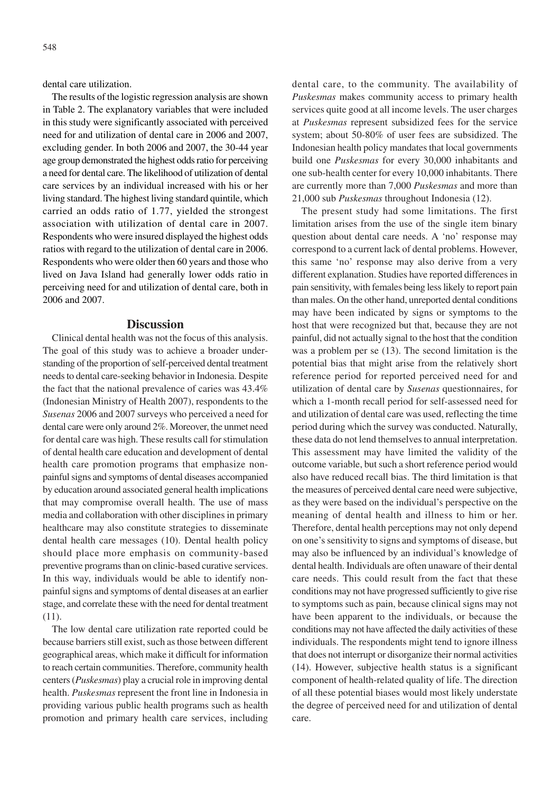dental care utilization.

The results of the logistic regression analysis are shown in Table 2. The explanatory variables that were included in this study were significantly associated with perceived need for and utilization of dental care in 2006 and 2007, excluding gender. In both 2006 and 2007, the 30-44 year age group demonstrated the highest odds ratio for perceiving a need for dental care. The likelihood of utilization of dental care services by an individual increased with his or her living standard. The highest living standard quintile, which carried an odds ratio of 1.77, yielded the strongest association with utilization of dental care in 2007. Respondents who were insured displayed the highest odds ratios with regard to the utilization of dental care in 2006. Respondents who were older then 60 years and those who lived on Java Island had generally lower odds ratio in perceiving need for and utilization of dental care, both in 2006 and 2007.

## **Discussion**

Clinical dental health was not the focus of this analysis. The goal of this study was to achieve a broader understanding of the proportion of self-perceived dental treatment needs to dental care-seeking behavior in Indonesia. Despite the fact that the national prevalence of caries was 43.4% (Indonesian Ministry of Health 2007), respondents to the *Susenas* 2006 and 2007 surveys who perceived a need for dental care were only around 2%. Moreover, the unmet need for dental care was high. These results call for stimulation of dental health care education and development of dental health care promotion programs that emphasize nonpainful signs and symptoms of dental diseases accompanied by education around associated general health implications that may compromise overall health. The use of mass media and collaboration with other disciplines in primary healthcare may also constitute strategies to disseminate dental health care messages (10). Dental health policy should place more emphasis on community-based preventive programs than on clinic-based curative services. In this way, individuals would be able to identify nonpainful signs and symptoms of dental diseases at an earlier stage, and correlate these with the need for dental treatment (11).

The low dental care utilization rate reported could be because barriers still exist, such as those between different geographical areas, which make it difficult for information to reach certain communities. Therefore, community health centers (*Puskesmas*) play a crucial role in improving dental health. *Puskesmas* represent the front line in Indonesia in providing various public health programs such as health promotion and primary health care services, including dental care, to the community. The availability of *Puskesmas* makes community access to primary health services quite good at all income levels. The user charges at *Puskesmas* represent subsidized fees for the service system; about 50-80% of user fees are subsidized. The Indonesian health policy mandates that local governments build one *Puskesmas* for every 30,000 inhabitants and one sub-health center for every 10,000 inhabitants. There are currently more than 7,000 *Puskesmas* and more than 21,000 sub *Puskesmas* throughout Indonesia (12).

The present study had some limitations. The first limitation arises from the use of the single item binary question about dental care needs. A 'no' response may correspond to a current lack of dental problems. However, this same 'no' response may also derive from a very different explanation. Studies have reported differences in pain sensitivity, with females being less likely to report pain than males. On the other hand, unreported dental conditions may have been indicated by signs or symptoms to the host that were recognized but that, because they are not painful, did not actually signal to the host that the condition was a problem per se (13). The second limitation is the potential bias that might arise from the relatively short reference period for reported perceived need for and utilization of dental care by *Susenas* questionnaires, for which a 1-month recall period for self-assessed need for and utilization of dental care was used, reflecting the time period during which the survey was conducted. Naturally, these data do not lend themselves to annual interpretation. This assessment may have limited the validity of the outcome variable, but such a short reference period would also have reduced recall bias. The third limitation is that the measures of perceived dental care need were subjective, as they were based on the individual's perspective on the meaning of dental health and illness to him or her. Therefore, dental health perceptions may not only depend on one's sensitivity to signs and symptoms of disease, but may also be influenced by an individual's knowledge of dental health. Individuals are often unaware of their dental care needs. This could result from the fact that these conditions may not have progressed sufficiently to give rise to symptoms such as pain, because clinical signs may not have been apparent to the individuals, or because the conditions may not have affected the daily activities of these individuals. The respondents might tend to ignore illness that does not interrupt or disorganize their normal activities (14). However, subjective health status is a significant component of health-related quality of life. The direction of all these potential biases would most likely understate the degree of perceived need for and utilization of dental care.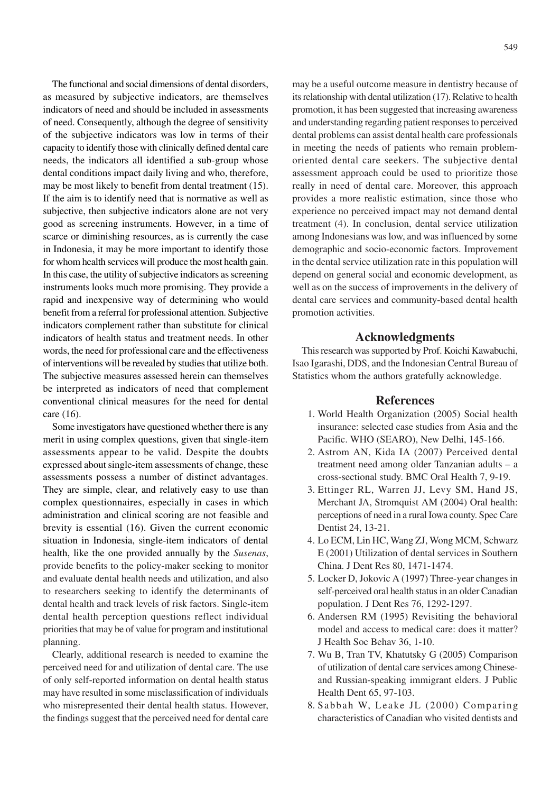The functional and social dimensions of dental disorders, as measured by subjective indicators, are themselves indicators of need and should be included in assessments of need. Consequently, although the degree of sensitivity of the subjective indicators was low in terms of their capacity to identify those with clinically defined dental care needs, the indicators all identified a sub-group whose dental conditions impact daily living and who, therefore, may be most likely to benefit from dental treatment (15). If the aim is to identify need that is normative as well as subjective, then subjective indicators alone are not very good as screening instruments. However, in a time of scarce or diminishing resources, as is currently the case in Indonesia, it may be more important to identify those for whom health services will produce the most health gain. In this case, the utility of subjective indicators as screening instruments looks much more promising. They provide a rapid and inexpensive way of determining who would benefit from a referral for professional attention. Subjective indicators complement rather than substitute for clinical indicators of health status and treatment needs. In other words, the need for professional care and the effectiveness of interventions will be revealed by studies that utilize both. The subjective measures assessed herein can themselves be interpreted as indicators of need that complement conventional clinical measures for the need for dental care (16).

Some investigators have questioned whether there is any merit in using complex questions, given that single-item assessments appear to be valid. Despite the doubts expressed about single-item assessments of change, these assessments possess a number of distinct advantages. They are simple, clear, and relatively easy to use than complex questionnaires, especially in cases in which administration and clinical scoring are not feasible and brevity is essential (16). Given the current economic situation in Indonesia, single-item indicators of dental health, like the one provided annually by the *Susenas*, provide benefits to the policy-maker seeking to monitor and evaluate dental health needs and utilization, and also to researchers seeking to identify the determinants of dental health and track levels of risk factors. Single-item dental health perception questions reflect individual priorities that may be of value for program and institutional planning.

Clearly, additional research is needed to examine the perceived need for and utilization of dental care. The use of only self-reported information on dental health status may have resulted in some misclassification of individuals who misrepresented their dental health status. However, the findings suggest that the perceived need for dental care may be a useful outcome measure in dentistry because of its relationship with dental utilization (17). Relative to health promotion, it has been suggested that increasing awareness and understanding regarding patient responses to perceived dental problems can assist dental health care professionals in meeting the needs of patients who remain problemoriented dental care seekers. The subjective dental assessment approach could be used to prioritize those really in need of dental care. Moreover, this approach provides a more realistic estimation, since those who experience no perceived impact may not demand dental treatment (4). In conclusion, dental service utilization among Indonesians was low, and was influenced by some demographic and socio-economic factors. Improvement in the dental service utilization rate in this population will depend on general social and economic development, as well as on the success of improvements in the delivery of dental care services and community-based dental health promotion activities.

#### **Acknowledgments**

This research was supported by Prof. Koichi Kawabuchi, Isao Igarashi, DDS, and the Indonesian Central Bureau of Statistics whom the authors gratefully acknowledge.

#### **References**

- 1. World Health Organization (2005) Social health insurance: selected case studies from Asia and the Pacific. WHO (SEARO), New Delhi, 145-166.
- 2. Astrom AN, Kida IA (2007) Perceived dental treatment need among older Tanzanian adults – a cross-sectional study. BMC Oral Health 7, 9-19.
- 3. Ettinger RL, Warren JJ, Levy SM, Hand JS, Merchant JA, Stromquist AM (2004) Oral health: perceptions of need in a rural Iowa county. Spec Care Dentist 24, 13-21.
- 4. Lo ECM, Lin HC, Wang ZJ, Wong MCM, Schwarz E (2001) Utilization of dental services in Southern China. J Dent Res 80, 1471-1474.
- 5. Locker D, Jokovic A (1997) Three-year changes in self-perceived oral health status in an older Canadian population. J Dent Res 76, 1292-1297.
- 6. Andersen RM (1995) Revisiting the behavioral model and access to medical care: does it matter? J Health Soc Behav 36, 1-10.
- 7. Wu B, Tran TV, Khatutsky G (2005) Comparison of utilization of dental care services among Chineseand Russian-speaking immigrant elders. J Public Health Dent 65, 97-103.
- 8. Sabbah W, Leake JL (2000) Comparing characteristics of Canadian who visited dentists and